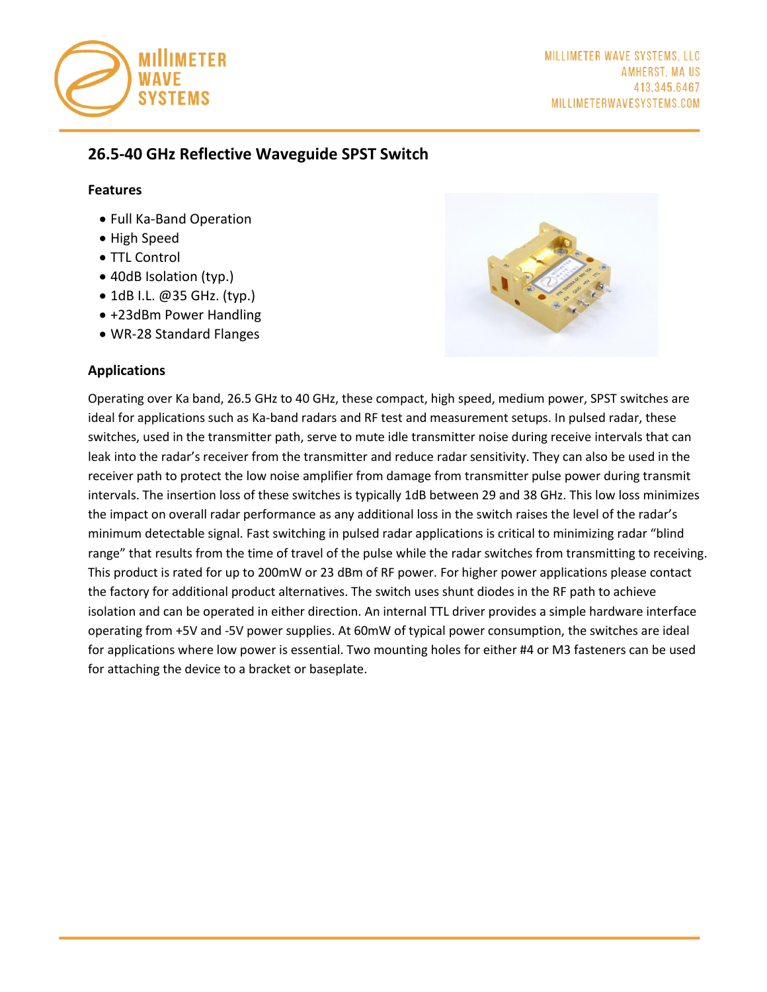

# **26.5-40 GHz Reflective Waveguide SPST Switch**

#### **Features**

- Full Ka-Band Operation
- High Speed
- TTL Control
- 40dB Isolation (typ.)
- 1dB I.L. @35 GHz. (typ.)
- +23dBm Power Handling
- WR-28 Standard Flanges

### **Applications**



Operating over Ka band, 26.5 GHz to 40 GHz, these compact, high speed, medium power, SPST switches are ideal for applications such as Ka-band radars and RF test and measurement setups. In pulsed radar, these switches, used in the transmitter path, serve to mute idle transmitter noise during receive intervals that can leak into the radar's receiver from the transmitter and reduce radar sensitivity. They can also be used in the receiver path to protect the low noise amplifier from damage from transmitter pulse power during transmit intervals. The insertion loss of these switches is typically 1dB between 29 and 38 GHz. This low loss minimizes the impact on overall radar performance as any additional loss in the switch raises the level of the radar's minimum detectable signal. Fast switching in pulsed radar applications is critical to minimizing radar "blind range" that results from the time of travel of the pulse while the radar switches from transmitting to receiving. This product is rated for up to 200mW or 23 dBm of RF power. For higher power applications please contact the factory for additional product alternatives. The switch uses shunt diodes in the RF path to achieve isolation and can be operated in either direction. An internal TTL driver provides a simple hardware interface operating from +5V and -5V power supplies. At 60mW of typical power consumption, the switches are ideal for applications where low power is essential. Two mounting holes for either #4 or M3 fasteners can be used for attaching the device to a bracket or baseplate.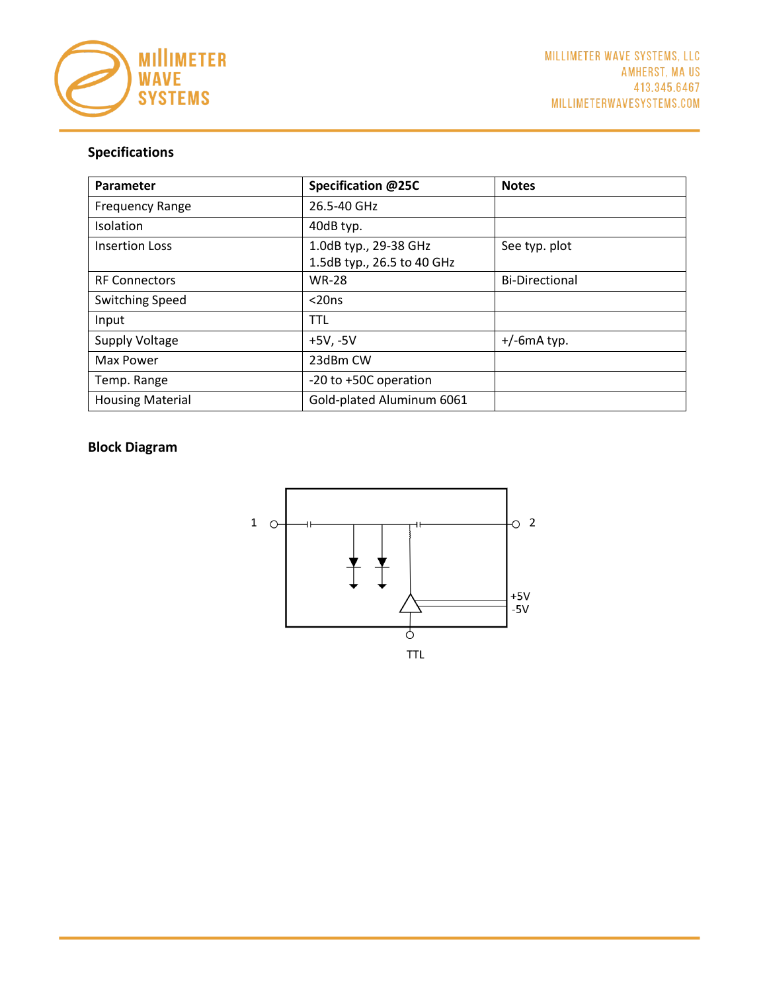

# **Specifications**

| Parameter               | Specification @25C         | <b>Notes</b>          |
|-------------------------|----------------------------|-----------------------|
| <b>Frequency Range</b>  | 26.5-40 GHz                |                       |
| Isolation               | 40dB typ.                  |                       |
| <b>Insertion Loss</b>   | 1.0dB typ., 29-38 GHz      | See typ. plot         |
|                         | 1.5dB typ., 26.5 to 40 GHz |                       |
| <b>RF Connectors</b>    | <b>WR-28</b>               | <b>Bi-Directional</b> |
| <b>Switching Speed</b>  | $<$ 20ns                   |                       |
| Input                   | <b>TTL</b>                 |                       |
| <b>Supply Voltage</b>   | $+5V, -5V$                 | $+/-6$ m $A$ typ.     |
| Max Power               | 23dBm CW                   |                       |
| Temp. Range             | -20 to +50C operation      |                       |
| <b>Housing Material</b> | Gold-plated Aluminum 6061  |                       |

## **Block Diagram**